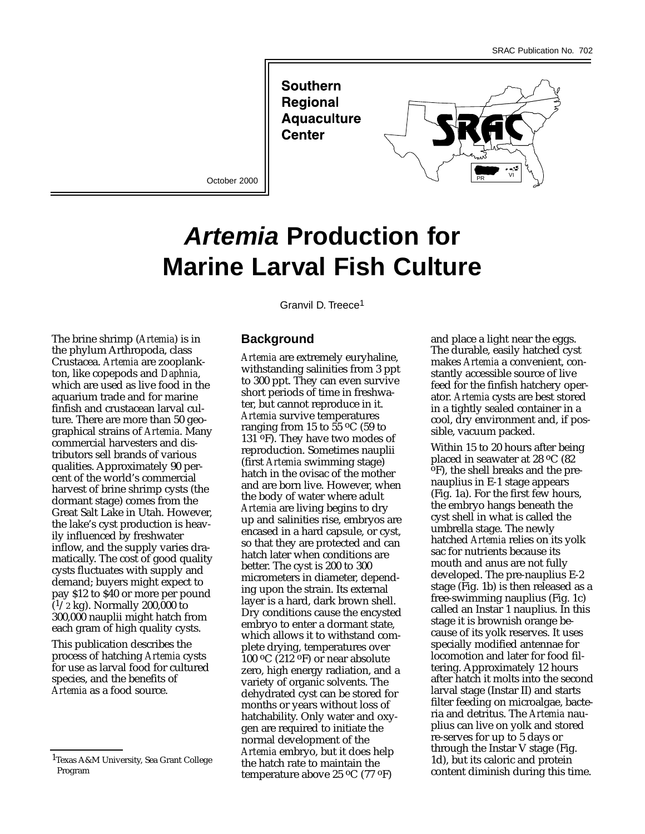**Southern Regional Aquaculture Center** 

October 2000



# **Artemia Production for Marine Larval Fish Culture**

The brine shrimp (*Artemia*) is in the phylum Arthropoda, class Crustacea. *Artemia* are zooplankton, like copepods and *Daphnia*, which are used as live food in the aquarium trade and for marine finfish and crustacean larval culture. There are more than 50 geographical strains of *Artemia*. Many commercial harvesters and distributors sell brands of various qualities. Approximately 90 percent of the world's commercial harvest of brine shrimp cysts (the dormant stage) comes from the Great Salt Lake in Utah. However, the lake's cyst production is heavily influenced by freshwater inflow, and the supply varies dramatically. The cost of good quality cysts fluctuates with supply and demand; buyers might expect to pay \$12 to \$40 or more per pound  $(1/2 \text{ kg})$ . Normally 200,000 to 300,000 nauplii might hatch from each gram of high quality cysts.

This publication describes the process of hatching *Artemia* cysts for use as larval food for cultured species, and the benefits of *Artemia* as a food source.

Granvil D. Treece1

## **Background**

*Artemia* are extremely euryhaline, withstanding salinities from 3 ppt to 300 ppt. They can even survive short periods of time in freshwater, but cannot reproduce in it. *Artemia* survive temperatures ranging from 15 to  $55 \degree C$  (59 to 131 oF). They have two modes of reproduction. Sometimes nauplii (first *Artemia* swimming stage) hatch in the ovisac of the mother and are born live. However, when the body of water where adult *Artemia* are living begins to dry up and salinities rise, embryos are encased in a hard capsule, or cyst, so that they are protected and can hatch later when conditions are better. The cyst is 200 to 300 micrometers in diameter, depending upon the strain. Its external layer is a hard, dark brown shell. Dry conditions cause the encysted embryo to enter a dormant state, which allows it to withstand complete drying, temperatures over 100 oC (212 oF) or near absolute zero, high energy radiation, and a variety of organic solvents. The dehydrated cyst can be stored for months or years without loss of hatchability. Only water and oxygen are required to initiate the normal development of the *Artemia* embryo, but it does help the hatch rate to maintain the temperature above 25 oC (77 oF)

and place a light near the eggs. The durable, easily hatched cyst makes *Artemia* a convenient, constantly accessible source of live feed for the finfish hatchery operator. *Artemia* cysts are best stored in a tightly sealed container in a cool, dry environment and, if possible, vacuum packed.

Within 15 to 20 hours after being<br>placed in seawater at 28  $\rm{^{\circ}C}$  (82  $\overline{P}$ , the shell breaks and the prenauplius in E-1 stage appears (Fig. 1a). For the first few hours, the embryo hangs beneath the cyst shell in what is called the umbrella stage. The newly hatched *Artemia* relies on its yolk sac for nutrients because its mouth and anus are not fully developed. The pre-nauplius E-2 stage (Fig. 1b) is then released as a free-swimming nauplius (Fig. 1c) called an Instar 1 nauplius. In this stage it is brownish orange because of its yolk reserves. It uses specially modified antennae for locomotion and later for food filtering. Approximately 12 hours after hatch it molts into the second larval stage (Instar II) and starts filter feeding on microalgae, bacteria and detritus. The *Artemia* nauplius can live on yolk and stored re-serves for up to 5 days or through the Instar V stage (Fig. 1d), but its caloric and protein content diminish during this time.

<sup>1</sup>Texas A&M University, Sea Grant College Program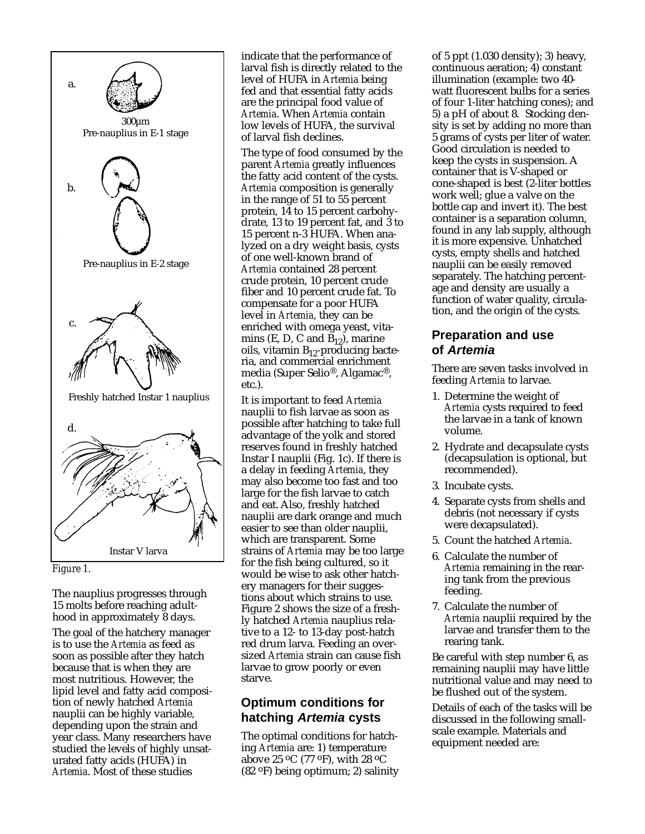



The nauplius progresses through 15 molts before reaching adulthood in approximately 8 days.

The goal of the hatchery manager is to use the *Artemia* as feed as soon as possible after they hatch because that is when they are most nutritious. However, the lipid level and fatty acid composition of newly hatched *Artemia* nauplii can be highly variable, depending upon the strain and year class. Many researchers have studied the levels of highly unsaturated fatty acids (HUFA) in *Artemia*. Most of these studies

indicate that the performance of larval fish is directly related to the level of HUFA in *Artemia* being fed and that essential fatty acids are the principal food value of *Artemia*. When *Artemia* contain low levels of HUFA, the survival of larval fish declines.

The type of food consumed by the parent *Artemia* greatly influences the fatty acid content of the cysts. *Artemia* composition is generally in the range of 51 to 55 percent protein, 14 to 15 percent carbohydrate, 13 to 19 percent fat, and 3 to 15 percent n-3 HUFA. When analyzed on a dry weight basis, cysts of one well-known brand of *Artemia* contained 28 percent crude protein, 10 percent crude fiber and 10 percent crude fat. To compensate for a poor HUFA level in *Artemia*, they can be enriched with omega yeast, vitamins (E, D, C and  $\widetilde{B}_{12}$ ), marine oils, vitamin  $B_{12}$ -producing bacteria, and commercial enrichment media (Super Selio®, Algamac®, etc.).

It is important to feed *Artemia* nauplii to fish larvae as soon as possible after hatching to take full advantage of the yolk and stored reserves found in freshly hatched Instar I nauplii (Fig. 1c). If there is a delay in feeding *Artemia*, they may also become too fast and too large for the fish larvae to catch and eat. Also, freshly hatched nauplii are dark orange and much easier to see than older nauplii, which are transparent. Some strains of *Artemia* may be too large for the fish being cultured, so it would be wise to ask other hatchery managers for their suggestions about which strains to use. Figure 2 shows the size of a freshly hatched *Artemia* nauplius relative to a 12- to 13-day post-hatch red drum larva. Feeding an oversized *Artemia* strain can cause fish larvae to grow poorly or even starve.

# **Optimum conditions for hatching Artemia cysts**

The optimal conditions for hatching *Artemia* are: 1) temperature above 25 oC (77 oF), with 28 oC (82 oF) being optimum; 2) salinity of 5 ppt (1.030 density); 3) heavy, continuous aeration; 4) constant illumination (example: two 40 watt fluorescent bulbs for a series of four 1-liter hatching cones); and 5) a pH of about 8. Stocking density is set by adding no more than 5 grams of cysts per liter of water. Good circulation is needed to keep the cysts in suspension. A container that is V-shaped or cone-shaped is best (2-liter bottles work well; glue a valve on the bottle cap and invert it). The best container is a separation column, found in any lab supply, although it is more expensive. Unhatched cysts, empty shells and hatched nauplii can be easily removed separately. The hatching percentage and density are usually a function of water quality, circulation, and the origin of the cysts.

# **Preparation and use of Artemia**

There are seven tasks involved in feeding *Artemia* to larvae.

- 1. Determine the weight of *Artemia* cysts required to feed the larvae in a tank of known volume.
- 2. Hydrate and decapsulate cysts (decapsulation is optional, but recommended).
- 3. Incubate cysts.
- 4. Separate cysts from shells and debris (not necessary if cysts were decapsulated).
- 5. Count the hatched *Artemia*.
- 6. Calculate the number of *Artemia* remaining in the rearing tank from the previous feeding.
- 7. Calculate the number of *Artemia* nauplii required by the larvae and transfer them to the rearing tank.

Be careful with step number 6, as remaining nauplii may have little nutritional value and may need to be flushed out of the system.

Details of each of the tasks will be discussed in the following smallscale example. Materials and equipment needed are: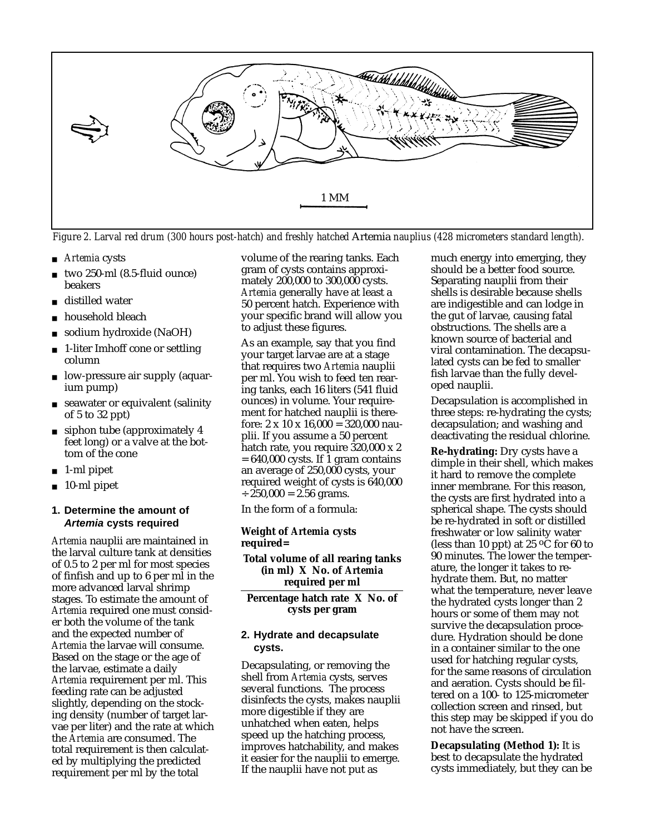

*Figure 2. Larval red drum (300 hours post-hatch) and freshly hatched* Artemia *nauplius (428 micrometers standard length).*

- *Artemia* cysts
- two 250-ml (8.5-fluid ounce) beakers
- distilled water
- household bleach
- sodium hydroxide (NaOH)
- 1-liter Imhoff cone or settling column
- low-pressure air supply (aquarium pump)
- seawater or equivalent (salinity of 5 to 32 ppt)
- siphon tube (approximately 4) feet long) or a valve at the bottom of the cone
- 1-ml pipet
- 10-ml pipet

### **1. Determine the amount of Artemia cysts required**

*Artemia* nauplii are maintained in the larval culture tank at densities of 0.5 to 2 per ml for most species of finfish and up to 6 per ml in the more advanced larval shrimp stages. To estimate the amount of *Artemia* required one must consider both the volume of the tank and the expected number of *Artemia* the larvae will consume. Based on the stage or the age of the larvae, estimate a daily *Artemia* requirement per ml. This feeding rate can be adjusted slightly, depending on the stocking density (number of target larvae per liter) and the rate at which the *Artemia* are consumed. The total requirement is then calculated by multiplying the predicted requirement per ml by the total

volume of the rearing tanks. Each gram of cysts contains approximately 200,000 to 300,000 cysts. *Artemia* generally have at least a 50 percent hatch. Experience with your specific brand will allow you to adjust these figures.

As an example, say that you find your target larvae are at a stage that requires two *Artemia* nauplii per ml. You wish to feed ten rearing tanks, each 16 liters (541 fluid ounces) in volume. Your requirement for hatched nauplii is therefore:  $2 \times 10 \times 16,000 = 320,000$  nauplii. If you assume a 50 percent hatch rate, you require 320,000 x 2  $= 640,000$  cysts. If 1 gram contains an average of 250,000 cysts, your required weight of cysts is 640,000  $\div$  250,000 = 2.56 grams.

In the form of a formula:

#### **Weight of** *Artemia* **cysts required=**

**Total volume of all rearing tanks (in ml) X No. of** *Artemia* **required per ml**

**Percentage hatch rate X No. of cysts per gram**

#### **2. Hydrate and decapsulate cysts.**

Decapsulating, or removing the shell from *Artemia* cysts, serves several functions. The process disinfects the cysts, makes nauplii more digestible if they are unhatched when eaten, helps speed up the hatching process, improves hatchability, and makes it easier for the nauplii to emerge. If the nauplii have not put as

much energy into emerging, they should be a better food source. Separating nauplii from their shells is desirable because shells are indigestible and can lodge in the gut of larvae, causing fatal obstructions. The shells are a known source of bacterial and viral contamination. The decapsulated cysts can be fed to smaller fish larvae than the fully developed nauplii.

Decapsulation is accomplished in three steps: re-hydrating the cysts; decapsulation; and washing and deactivating the residual chlorine.

**Re-hydrating:** Dry cysts have a dimple in their shell, which makes it hard to remove the complete inner membrane. For this reason, the cysts are first hydrated into a spherical shape. The cysts should be re-hydrated in soft or distilled freshwater or low salinity water (less than 10 ppt) at 25  $\rm{^{\circ}C}$  for 60 to 90 minutes. The lower the temperature, the longer it takes to rehydrate them. But, no matter what the temperature, never leave the hydrated cysts longer than 2 hours or some of them may not survive the decapsulation procedure. Hydration should be done in a container similar to the one used for hatching regular cysts, for the same reasons of circulation and aeration. Cysts should be filtered on a 100- to 125-micrometer collection screen and rinsed, but this step may be skipped if you do not have the screen.

**Decapsulating (Method 1):** It is best to decapsulate the hydrated cysts immediately, but they can be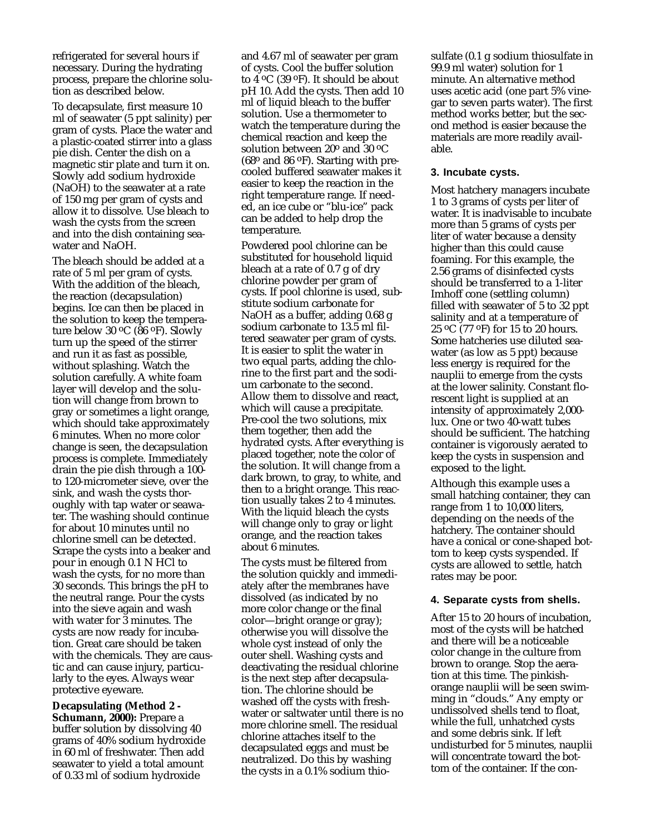refrigerated for several hours if necessary. During the hydrating process, prepare the chlorine solution as described below.

To decapsulate, first measure 10 ml of seawater (5 ppt salinity) per gram of cysts. Place the water and a plastic-coated stirrer into a glass pie dish. Center the dish on a magnetic stir plate and turn it on. Slowly add sodium hydroxide (NaOH) to the seawater at a rate of 150 mg per gram of cysts and allow it to dissolve. Use bleach to wash the cysts from the screen and into the dish containing seawater and NaOH.

The bleach should be added at a rate of 5 ml per gram of cysts. With the addition of the bleach, the reaction (decapsulation) begins. Ice can then be placed in the solution to keep the temperature below 30 oC (86 oF). Slowly turn up the speed of the stirrer and run it as fast as possible, without splashing. Watch the solution carefully. A white foam layer will develop and the solution will change from brown to gray or sometimes a light orange, which should take approximately 6 minutes. When no more color change is seen, the decapsulation process is complete. Immediately drain the pie dish through a 100 to 120-micrometer sieve, over the sink, and wash the cysts thoroughly with tap water or seawater. The washing should continue for about 10 minutes until no chlorine smell can be detected. Scrape the cysts into a beaker and pour in enough 0.1 N HCl to wash the cysts, for no more than 30 seconds. This brings the pH to the neutral range. Pour the cysts into the sieve again and wash with water for 3 minutes. The cysts are now ready for incubation. Great care should be taken with the chemicals. They are caustic and can cause injury, particularly to the eyes. Always wear protective eyeware.

**Decapsulating (Method 2 - Schumann, 2000):** Prepare a buffer solution by dissolving 40 grams of 40% sodium hydroxide in 60 ml of freshwater. Then add seawater to yield a total amount of 0.33 ml of sodium hydroxide

and 4.67 ml of seawater per gram of cysts. Cool the buffer solution to 4 oC (39 oF). It should be about pH 10. Add the cysts. Then add 10 ml of liquid bleach to the buffer solution. Use a thermometer to watch the temperature during the chemical reaction and keep the solution between 20° and 30 °C  $(68°$  and  $86°$ F). Starting with precooled buffered seawater makes it easier to keep the reaction in the right temperature range. If needed, an ice cube or "blu-ice" pack can be added to help drop the temperature.

Powdered pool chlorine can be substituted for household liquid bleach at a rate of 0.7 g of dry chlorine powder per gram of cysts. If pool chlorine is used, substitute sodium carbonate for NaOH as a buffer, adding 0.68 g sodium carbonate to 13.5 ml filtered seawater per gram of cysts. It is easier to split the water in two equal parts, adding the chlorine to the first part and the sodium carbonate to the second. Allow them to dissolve and react, which will cause a precipitate. Pre-cool the two solutions, mix them together, then add the hydrated cysts. After everything is placed together, note the color of the solution. It will change from a dark brown, to gray, to white, and then to a bright orange. This reaction usually takes 2 to 4 minutes. With the liquid bleach the cysts will change only to gray or light orange, and the reaction takes about 6 minutes.

The cysts must be filtered from the solution quickly and immediately after the membranes have dissolved (as indicated by no more color change or the final color—bright orange or gray); otherwise you will dissolve the whole cyst instead of only the outer shell. Washing cysts and deactivating the residual chlorine is the next step after decapsulation. The chlorine should be washed off the cysts with freshwater or saltwater until there is no more chlorine smell. The residual chlorine attaches itself to the decapsulated eggs and must be neutralized. Do this by washing the cysts in a 0.1% sodium thiosulfate (0.1 g sodium thiosulfate in 99.9 ml water) solution for 1 minute. An alternative method uses acetic acid (one part 5% vinegar to seven parts water). The first method works better, but the second method is easier because the materials are more readily available.

#### **3. Incubate cysts.**

Most hatchery managers incubate 1 to 3 grams of cysts per liter of water. It is inadvisable to incubate more than 5 grams of cysts per liter of water because a density higher than this could cause foaming. For this example, the 2.56 grams of disinfected cysts should be transferred to a 1-liter Imhoff cone (settling column) filled with seawater of 5 to 32 ppt salinity and at a temperature of 25 oC (77 oF) for 15 to 20 hours. Some hatcheries use diluted seawater (as low as 5 ppt) because less energy is required for the nauplii to emerge from the cysts at the lower salinity. Constant florescent light is supplied at an intensity of approximately 2,000 lux. One or two 40-watt tubes should be sufficient. The hatching container is vigorously aerated to keep the cysts in suspension and exposed to the light.

Although this example uses a small hatching container, they can range from 1 to 10,000 liters, depending on the needs of the hatchery. The container should have a conical or cone-shaped bottom to keep cysts syspended. If cysts are allowed to settle, hatch rates may be poor.

#### **4. Separate cysts from shells.**

After 15 to 20 hours of incubation, most of the cysts will be hatched and there will be a noticeable color change in the culture from brown to orange. Stop the aeration at this time. The pinkishorange nauplii will be seen swimming in "clouds." Any empty or undissolved shells tend to float, while the full, unhatched cysts and some debris sink. If left undisturbed for 5 minutes, nauplii will concentrate toward the bottom of the container. If the con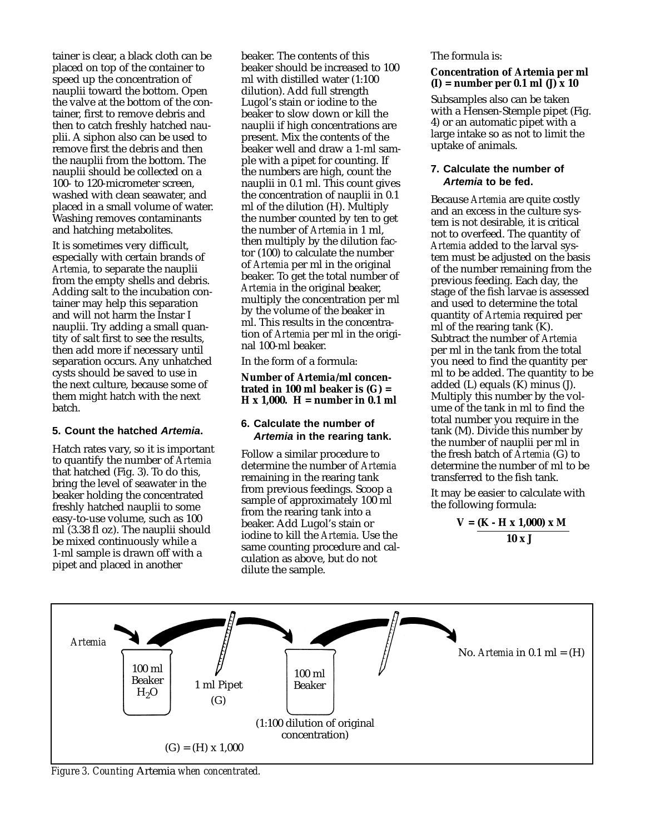tainer is clear, a black cloth can be placed on top of the container to speed up the concentration of nauplii toward the bottom. Open the valve at the bottom of the container, first to remove debris and then to catch freshly hatched nauplii. A siphon also can be used to remove first the debris and then the nauplii from the bottom. The nauplii should be collected on a 100- to 120-micrometer screen, washed with clean seawater, and placed in a small volume of water. Washing removes contaminants and hatching metabolites.

It is sometimes very difficult, especially with certain brands of *Artemia*, to separate the nauplii from the empty shells and debris. Adding salt to the incubation container may help this separation and will not harm the Instar I nauplii. Try adding a small quantity of salt first to see the results, then add more if necessary until separation occurs. Any unhatched cysts should be saved to use in the next culture, because some of them might hatch with the next batch.

## **5. Count the hatched Artemia.**

Hatch rates vary, so it is important to quantify the number of *Artemia* that hatched (Fig. 3). To do this, bring the level of seawater in the beaker holding the concentrated freshly hatched nauplii to some easy-to-use volume, such as 100 ml (3.38 fl oz). The nauplii should be mixed continuously while a 1-ml sample is drawn off with a pipet and placed in another

beaker. The contents of this beaker should be increased to 100 ml with distilled water (1:100 dilution). Add full strength Lugol's stain or iodine to the beaker to slow down or kill the nauplii if high concentrations are present. Mix the contents of the beaker well and draw a 1-ml sample with a pipet for counting. If the numbers are high, count the nauplii in 0.1 ml. This count gives the concentration of nauplii in 0.1 ml of the dilution (H). Multiply the number counted by ten to get the number of *Artemia* in 1 ml, then multiply by the dilution factor (100) to calculate the number of *Artemia* per ml in the original beaker. To get the total number of *Artemia* in the original beaker, multiply the concentration per ml by the volume of the beaker in ml. This results in the concentration of *Artemia* per ml in the original 100-ml beaker.

In the form of a formula:

**Number of** *Artemia***/ml concentrated in 100 ml beaker is (G) = H x 1,000. H = number in 0.1 ml**

### **6. Calculate the number of Artemia in the rearing tank.**

Follow a similar procedure to determine the number of *Artemia* remaining in the rearing tank from previous feedings. Scoop a sample of approximately 100 ml from the rearing tank into a beaker. Add Lugol's stain or iodine to kill the *Artemia*. Use the same counting procedure and calculation as above, but do not dilute the sample.

The formula is:

#### **Concentration of Artemia per ml (I) = number per 0.1 ml (J) x 10**

Subsamples also can be taken with a Hensen-Stemple pipet (Fig. 4) or an automatic pipet with a large intake so as not to limit the uptake of animals.

## **7. Calculate the number of Artemia to be fed.**

Because *Artemia* are quite costly and an excess in the culture system is not desirable, it is critical not to overfeed. The quantity of *Artemia* added to the larval system must be adjusted on the basis of the number remaining from the previous feeding. Each day, the stage of the fish larvae is assessed and used to determine the total quantity of *Artemia* required per ml of the rearing tank (K). Subtract the number of *Artemia* per ml in the tank from the total you need to find the quantity per ml to be added. The quantity to be added (L) equals (K) minus (J). Multiply this number by the volume of the tank in ml to find the total number you require in the tank (M). Divide this number by the number of nauplii per ml in the fresh batch of *Artemia* (G) to determine the number of ml to be transferred to the fish tank.

It may be easier to calculate with the following formula:

$$
V = \frac{(K-H x 1,000) x M}{10 x J}
$$



*Figure 3. Counting* Artemia *when concentrated.*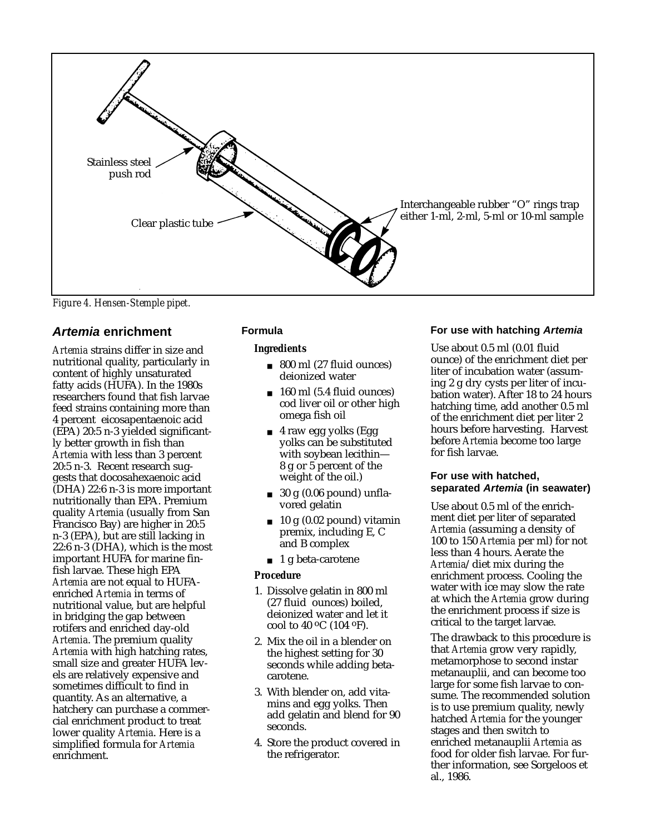

*Figure 4. Hensen-Stemple pipet.*

# **Artemia enrichment**

*Artemia* strains differ in size and nutritional quality, particularly in content of highly unsaturated fatty acids (HUFA). In the 1980s researchers found that fish larvae feed strains containing more than 4 percent eicosapentaenoic acid (EPA) 20:5 n-3 yielded significantly better growth in fish than *Artemia* with less than 3 percent 20:5 n-3. Recent research suggests that docosahexaenoic acid (DHA) 22:6 n-3 is more important nutritionally than EPA. Premium quality *Artemia* (usually from San Francisco Bay) are higher in 20:5 n-3 (EPA), but are still lacking in 22:6 n-3 (DHA), which is the most important HUFA for marine finfish larvae. These high EPA *Artemia* are not equal to HUFAenriched *Artemia* in terms of nutritional value, but are helpful in bridging the gap between rotifers and enriched day-old *Artemia*. The premium quality *Artemia* with high hatching rates, small size and greater HUFA levels are relatively expensive and sometimes difficult to find in quantity. As an alternative, a hatchery can purchase a commercial enrichment product to treat lower quality *Artemia*. Here is a simplified formula for *Artemia* enrichment.

# **Formula**

#### *Ingredients*

- 800 ml (27 fluid ounces) deionized water
- 160 ml (5.4 fluid ounces) cod liver oil or other high omega fish oil
- 4 raw egg yolks (Egg yolks can be substituted with soybean lecithin— 8 g or 5 percent of the weight of the oil.)
- $\Box$  30 g (0.06 pound) unflavored gelatin
- $\blacksquare$  10 g (0.02 pound) vitamin premix, including E, C and B complex
- 1 g beta-carotene

## *Procedure*

- 1. Dissolve gelatin in 800 ml (27 fluid ounces) boiled, deionized water and let it cool to 40 oC (104 oF).
- 2. Mix the oil in a blender on the highest setting for 30 seconds while adding betacarotene.
- 3. With blender on, add vitamins and egg yolks. Then add gelatin and blend for 90 seconds.
- 4. Store the product covered in the refrigerator.

## **For use with hatching Artemia**

Use about 0.5 ml (0.01 fluid ounce) of the enrichment diet per liter of incubation water (assuming 2 g dry cysts per liter of incubation water). After 18 to 24 hours hatching time, add another 0.5 ml of the enrichment diet per liter 2 hours before harvesting. Harvest before *Artemia* become too large for fish larvae.

## **For use with hatched, separated Artemia (in seawater)**

Use about 0.5 ml of the enrichment diet per liter of separated *Artemia* (assuming a density of 100 to 150 *Artemia* per ml) for not less than 4 hours. Aerate the *Artemia*/diet mix during the enrichment process. Cooling the water with ice may slow the rate at which the *Artemia* grow during the enrichment process if size is critical to the target larvae.

The drawback to this procedure is that *Artemia* grow very rapidly, metamorphose to second instar metanauplii, and can become too large for some fish larvae to consume. The recommended solution is to use premium quality, newly hatched *Artemia* for the younger stages and then switch to enriched metanauplii *Artemia* as food for older fish larvae. For further information, see Sorgeloos et al., 1986.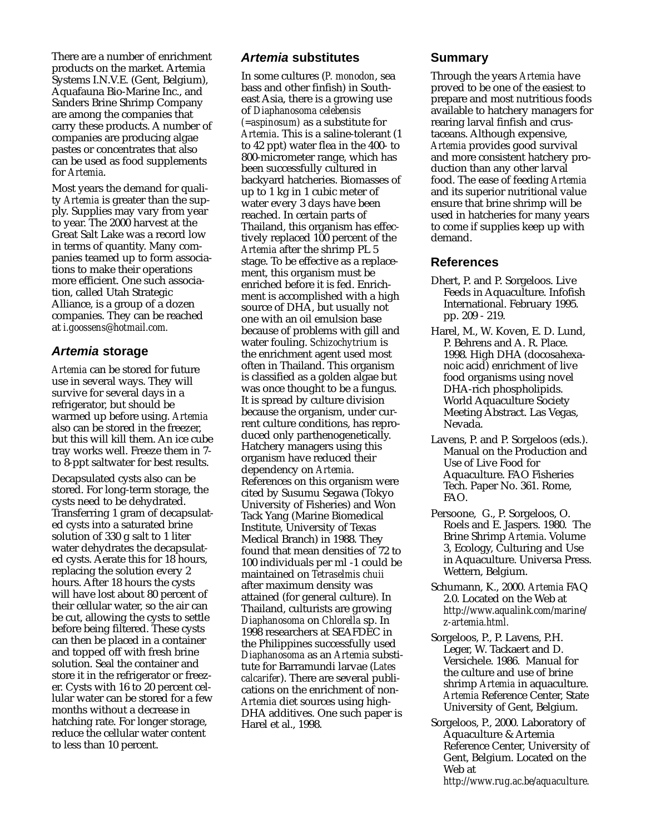There are a number of enrichment products on the market. Artemia Systems I.N.V.E. (Gent, Belgium), Aquafauna Bio-Marine Inc., and Sanders Brine Shrimp Company are among the companies that carry these products. A number of companies are producing algae pastes or concentrates that also can be used as food supplements for *Artemia*.

Most years the demand for quality *Artemia* is greater than the supply. Supplies may vary from year to year. The 2000 harvest at the Great Salt Lake was a record low in terms of quantity. Many companies teamed up to form associations to make their operations more efficient. One such association, called Utah Strategic Alliance, is a group of a dozen companies. They can be reached at *i.goossens@hotmail.com.*

# **Artemia storage**

*Artemia* can be stored for future use in several ways. They will survive for several days in a refrigerator, but should be warmed up before using. *Artemia* also can be stored in the freezer, but this will kill them. An ice cube tray works well. Freeze them in 7 to 8-ppt saltwater for best results.

Decapsulated cysts also can be stored. For long-term storage, the cysts need to be dehydrated. Transferring 1 gram of decapsulated cysts into a saturated brine solution of 330 g salt to 1 liter water dehydrates the decapsulated cysts. Aerate this for 18 hours, replacing the solution every 2 hours. After 18 hours the cysts will have lost about 80 percent of their cellular water, so the air can be cut, allowing the cysts to settle before being filtered. These cysts can then be placed in a container and topped off with fresh brine solution. Seal the container and store it in the refrigerator or freezer. Cysts with 16 to 20 percent cellular water can be stored for a few months without a decrease in hatching rate. For longer storage, reduce the cellular water content to less than 10 percent.

# **Artemia substitutes**

In some cultures (*P. monodon*, sea bass and other finfish) in Southeast Asia, there is a growing use of *Diaphanosoma celebensis (=aspinosum)* as a substitute for *Artemia*. This is a saline-tolerant (1 to 42 ppt) water flea in the 400- to 800-micrometer range, which has been successfully cultured in backyard hatcheries. Biomasses of up to 1 kg in 1 cubic meter of water every 3 days have been reached. In certain parts of Thailand, this organism has effectively replaced 100 percent of the *Artemia* after the shrimp PL 5 stage. To be effective as a replacement, this organism must be enriched before it is fed. Enrichment is accomplished with a high source of DHA, but usually not one with an oil emulsion base because of problems with gill and water fouling. *Schizochytrium* is the enrichment agent used most often in Thailand. This organism is classified as a golden algae but was once thought to be a fungus. It is spread by culture division because the organism, under current culture conditions, has reproduced only parthenogenetically. Hatchery managers using this organism have reduced their dependency on *Artemia*. References on this organism were cited by Susumu Segawa (Tokyo University of Fisheries) and Won Tack Yang (Marine Biomedical Institute, University of Texas Medical Branch) in 1988. They found that mean densities of 72 to 100 individuals per ml -1 could be maintained on *Tetraselmis chuii* after maximum density was attained (for general culture). In Thailand, culturists are growing *Diaphanosoma* on *Chlorella* sp. In 1998 researchers at SEAFDEC in the Philippines successfully used *Diaphanosoma* as an *Artemia* substitute for Barramundi larvae (*Lates calcarifer*). There are several publications on the enrichment of non-*Artemia* diet sources using high-DHA additives. One such paper is Harel et al., 1998.

# **Summary**

Through the years *Artemia* have proved to be one of the easiest to prepare and most nutritious foods available to hatchery managers for rearing larval finfish and crustaceans. Although expensive, *Artemia* provides good survival and more consistent hatchery production than any other larval food. The ease of feeding *Artemia* and its superior nutritional value ensure that brine shrimp will be used in hatcheries for many years to come if supplies keep up with demand.

## **References**

- Dhert, P. and P. Sorgeloos. Live Feeds in Aquaculture. Infofish International. February 1995. pp. 209 - 219.
- Harel, M., W. Koven, E. D. Lund, P. Behrens and A. R. Place. 1998. High DHA (docosahexanoic acid) enrichment of live food organisms using novel DHA-rich phospholipids. World Aquaculture Society Meeting Abstract. Las Vegas, Nevada.
- Lavens, P. and P. Sorgeloos (eds.). Manual on the Production and Use of Live Food for Aquaculture. FAO Fisheries Tech. Paper No. 361. Rome, FAO.
- Persoone, G., P. Sorgeloos, O. Roels and E. Jaspers. 1980. The Brine Shrimp *Artemia*. Volume 3, Ecology, Culturing and Use in Aquaculture. Universa Press. Wettern, Belgium.
- Schumann, K., 2000. *Artemia* FAQ 2.0. Located on the Web at *http://www.aqualink.com/marine/ z-artemia.html.*
- Sorgeloos, P., P. Lavens, P.H. Leger, W. Tackaert and D. Versichele. 1986. Manual for the culture and use of brine shrimp *Artemia* in aquaculture. *Artemia* Reference Center, State University of Gent, Belgium.
- Sorgeloos, P., 2000. Laboratory of Aquaculture & Artemia Reference Center, University of Gent, Belgium. Located on the Web at *http://www.rug.ac.be/aquaculture.*